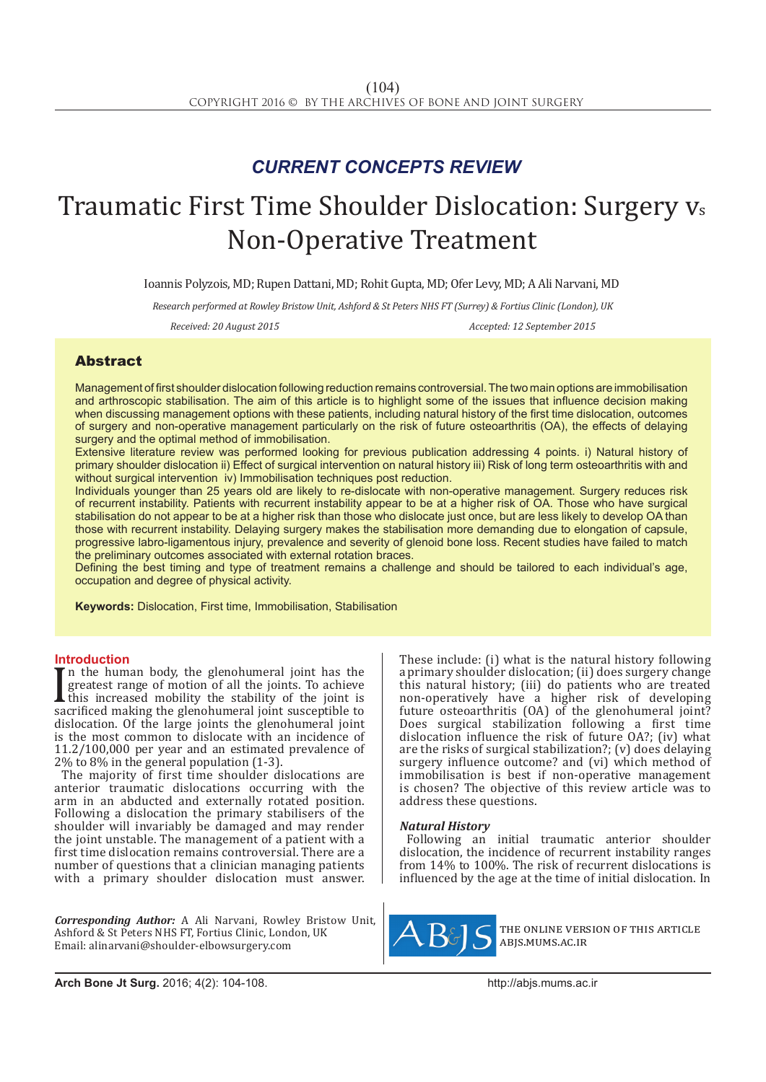## *CURRENT CONCEPTS REVIEW*

# Traumatic First Time Shoulder Dislocation: Surgery vs Non-Operative Treatment

Ioannis Polyzois, MD; Rupen Dattani, MD; Rohit Gupta, MD; Ofer Levy, MD; A Ali Narvani, MD

*Research performed at Rowley Bristow Unit, Ashford & St Peters NHS FT (Surrey) & Fortius Clinic (London), UK*

*Received: 20 August 2015 Accepted: 12 September 2015*

### Abstract

Management of first shoulder dislocation following reduction remains controversial. The two main options are immobilisation and arthroscopic stabilisation. The aim of this article is to highlight some of the issues that influence decision making when discussing management options with these patients, including natural history of the first time dislocation, outcomes of surgery and non-operative management particularly on the risk of future osteoarthritis (OA), the effects of delaying surgery and the optimal method of immobilisation.

Extensive literature review was performed looking for previous publication addressing 4 points. i) Natural history of primary shoulder dislocation ii) Effect of surgical intervention on natural history iii) Risk of long term osteoarthritis with and without surgical intervention iv) Immobilisation techniques post reduction.

Individuals younger than 25 years old are likely to re-dislocate with non-operative management. Surgery reduces risk of recurrent instability. Patients with recurrent instability appear to be at a higher risk of OA. Those who have surgical stabilisation do not appear to be at a higher risk than those who dislocate just once, but are less likely to develop OA than those with recurrent instability. Delaying surgery makes the stabilisation more demanding due to elongation of capsule, progressive labro-ligamentous injury, prevalence and severity of glenoid bone loss. Recent studies have failed to match the preliminary outcomes associated with external rotation braces.

Defining the best timing and type of treatment remains a challenge and should be tailored to each individual's age, occupation and degree of physical activity.

**Keywords:** Dislocation, First time, Immobilisation, Stabilisation

### **Introduction**

If the namal body, the glenohumeral joint has the<br>greatest range of motion of all the joints. To achieve<br>sacrificed making the glenohumeral joint is<br>sacrificed making the glenohumeral joint susceptible to<br>sistential points n the human body, the glenohumeral joint has the greatest range of motion of all the joints. To achieve this increased mobility the stability of the joint is dislocation. Of the large joints the glenohumeral joint is the most common to dislocate with an incidence of 11.2/100,000 per year and an estimated prevalence of 2% to 8% in the general population (1-3).

The majority of first time shoulder dislocations are anterior traumatic dislocations occurring with the arm in an abducted and externally rotated position. Following a dislocation the primary stabilisers of the shoulder will invariably be damaged and may render the joint unstable. The management of a patient with a first time dislocation remains controversial. There are a number of questions that a clinician managing patients with a primary shoulder dislocation must answer.

*Corresponding Author:* A Ali Narvani, Rowley Bristow Unit, Ashford & St Peters NHS FT, Fortius Clinic, London, UK Email: alinarvani@shoulder-elbowsurgery.com

These include: (i) what is the natural history following aprimary shoulder dislocation; (ii) does surgery change this natural history; (iii) do patients who are treated non-operatively have a higher risk of developing future osteoarthritis (OA) of the glenohumeral joint? Does surgical stabilization following a first time dislocation influence the risk of future OA?; (iv) what are the risks of surgical stabilization?; (v) does delaying surgery influence outcome? and (vi) which method of immobilisation is best if non-operative management is chosen? The objective of this review article was to address these questions.

### *Natural History*

Following an initial traumatic anterior shoulder dislocation, the incidence of recurrent instability ranges from 14% to 100%. The risk of recurrent dislocations is influenced by the age at the time of initial dislocation. In



the online version of this article abjs.mums.ac.ir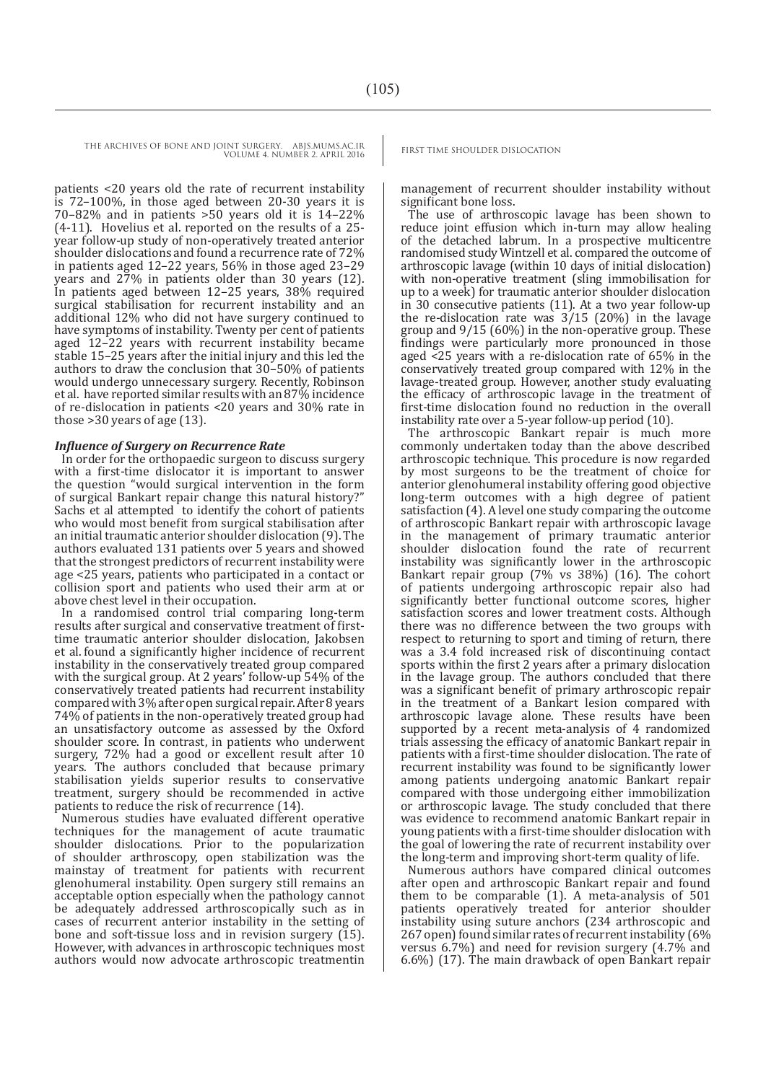THE ARCHIVES OF BONE AND JOINT SURGERY. ABJS.MUMS.AC.IR FIRST TIME SHOULDER DISLOCATION

VOLUME 4. NUMBER 2. APRIL 2016

patients <20 years old the rate of recurrent instability is 72–100%, in those aged between 20-30 years it is 70–82% and in patients >50 years old it is 14–22% (4-11). Hovelius et al. reported on the results of a 25 year follow-up study of non-operatively treated anterior shoulder dislocations and found a recurrence rate of 72% in patients aged 12–22 years, 56% in those aged 23–29 years and 27% in patients older than 30 years (12). In patients aged between 12–25 years, 38% required surgical stabilisation for recurrent instability and an additional 12% who did not have surgery continued to have symptoms of instability. Twenty per cent of patients aged 12–22 years with recurrent instability became stable 15–25 years after the initial injury and this led the authors to draw the conclusion that 30–50% of patients would undergo unnecessary surgery. Recently, Robinson et al. have reported similar results with an 87% incidence of re-dislocation in patients <20 years and 30% rate in those >30 years of age (13).

### *Influence of Surgery on Recurrence Rate*

In order for the orthopaedic surgeon to discuss surgery with a first-time dislocator it is important to answer the question "would surgical intervention in the form of surgical Bankart repair change this natural history?" Sachs et al attempted to identify the cohort of patients who would most benefit from surgical stabilisation after an initial traumatic anterior shoulder dislocation (9). The authors evaluated 131 patients over 5 years and showed that the strongest predictors of recurrent instability were age <25 years, patients who participated in a contact or collision sport and patients who used their arm at or above chest level in their occupation.

In a randomised control trial comparing long-term results after surgical and conservative treatment of firsttime traumatic anterior shoulder dislocation, Jakobsen et al. found a significantly higher incidence of recurrent instability in the conservatively treated group compared with the surgical group. At 2 years' follow-up 54% of the conservatively treated patients had recurrent instability compared with 3% after open surgical repair. After 8 years 74% of patients in the non-operatively treated group had an unsatisfactory outcome as assessed by the Oxford shoulder score. In contrast, in patients who underwent surgery, 72% had a good or excellent result after 10 years. The authors concluded that because primary stabilisation yields superior results to conservative treatment, surgery should be recommended in active patients to reduce the risk of recurrence (14).

Numerous studies have evaluated different operative techniques for the management of acute traumatic shoulder dislocations. Prior to the popularization of shoulder arthroscopy, open stabilization was the mainstay of treatment for patients with recurrent glenohumeral instability. Open surgery still remains an acceptable option especially when the pathology cannot be adequately addressed arthroscopically such as in cases of recurrent anterior instability in the setting of bone and soft-tissue loss and in revision surgery  $(15)$ . However, with advances in arthroscopic techniques most authors would now advocate arthroscopic treatmentin

management of recurrent shoulder instability without significant bone loss.

The use of arthroscopic lavage has been shown to reduce joint effusion which in-turn may allow healing of the detached labrum. In a prospective multicentre randomised study Wintzell et al. compared the outcome of arthroscopic lavage (within 10 days of initial dislocation) with non-operative treatment (sling immobilisation for up to a week) for traumatic anterior shoulder dislocation in 30 consecutive patients (11). At a two year follow-up the re-dislocation rate was  $3/15$  (20%) in the lavage group and 9/15 (60%) in the non-operative group. These findings were particularly more pronounced in those aged <25 years with a re-dislocation rate of 65% in the conservatively treated group compared with 12% in the lavage-treated group. However, another study evaluating the efficacy of arthroscopic lavage in the treatment of first-time dislocation found no reduction in the overall instability rate over a 5-year follow-up period (10).

The arthroscopic Bankart repair is much more commonly undertaken today than the above described arthroscopic technique. This procedure is now regarded by most surgeons to be the treatment of choice for anterior glenohumeral instability offering good objective long-term outcomes with a high degree of patient satisfaction (4). A level one study comparing the outcome of arthroscopic Bankart repair with arthroscopic lavage in the management of primary traumatic anterior shoulder dislocation found the rate of recurrent instability was significantly lower in the arthroscopic Bankart repair group (7% vs 38%) (16). The cohort of patients undergoing arthroscopic repair also had significantly better functional outcome scores, higher satisfaction scores and lower treatment costs. Although there was no difference between the two groups with respect to returning to sport and timing of return, there was a 3.4 fold increased risk of discontinuing contact sports within the first 2 years after a primary dislocation in the lavage group. The authors concluded that there was a significant benefit of primary arthroscopic repair in the treatment of a Bankart lesion compared with arthroscopic lavage alone. These results have been supported by a recent meta-analysis of 4 randomized trials assessing the efficacy of anatomic Bankart repair in patients with a first-time shoulder dislocation. The rate of recurrent instability was found to be significantly lower among patients undergoing anatomic Bankart repair compared with those undergoing either immobilization or arthroscopic lavage. The study concluded that there was evidence to recommend anatomic Bankart repair in young patients with a first-time shoulder dislocation with the goal of lowering the rate of recurrent instability over the long-term and improving short-term quality of life.

Numerous authors have compared clinical outcomes after open and arthroscopic Bankart repair and found them to be comparable (1). A meta-analysis of 501 patients operatively treated for anterior shoulder instability using suture anchors (234 arthroscopic and 267 open) found similar rates of recurrent instability (6% versus 6.7%) and need for revision surgery (4.7% and 6.6%) (17). The main drawback of open Bankart repair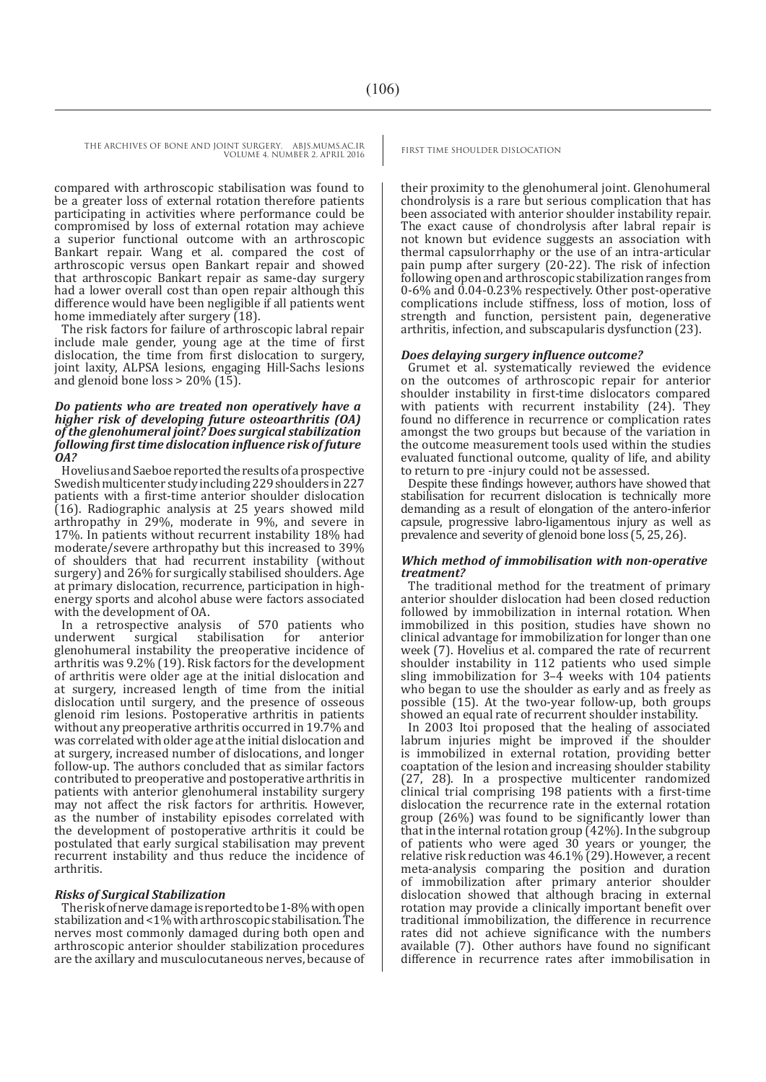THE ARCHIVES OF BONE AND JOINT SURGERY. ABJS.MUMS.AC.IR FIRST TIME SHOULDER DISLOCATION VOLUME 4. NUMBER 2. APRIL 2016

compared with arthroscopic stabilisation was found to be a greater loss of external rotation therefore patients participating in activities where performance could be compromised by loss of external rotation may achieve a superior functional outcome with an arthroscopic Bankart repair. Wang et al. compared the cost of arthroscopic versus open Bankart repair and showed that arthroscopic Bankart repair as same-day surgery had a lower overall cost than open repair although this difference would have been negligible if all patients went home immediately after surgery (18).

The risk factors for failure of arthroscopic labral repair include male gender, young age at the time of first dislocation, the time from first dislocation to surgery, joint laxity, ALPSA lesions, engaging Hill-Sachs lesions and glenoid bone loss > 20% (15).

### *Do patients who are treated non operatively have a higher risk of developing future osteoarthritis (OA) of the glenohumeral joint? Does surgical stabilization following first time dislocation influence risk of future OA?*

Hovelius and Saeboe reported the results of a prospective Swedish multicenter study including 229 shoulders in 227 patients with a first-time anterior shoulder dislocation (16). Radiographic analysis at 25 years showed mild arthropathy in 29%, moderate in 9%, and severe in 17%. In patients without recurrent instability 18% had moderate/severe arthropathy but this increased to 39% of shoulders that had recurrent instability (without surgery) and 26% for surgically stabilised shoulders. Age at primary dislocation, recurrence, participation in highenergy sports and alcohol abuse were factors associated with the development of OA.

In a retrospective analysis of 570 patients who underwent surgical stabilisation for anterior glenohumeral instability the preoperative incidence of arthritis was 9.2% (19). Risk factors for the development of arthritis were older age at the initial dislocation and at surgery, increased length of time from the initial dislocation until surgery, and the presence of osseous glenoid rim lesions. Postoperative arthritis in patients without any preoperative arthritis occurred in 19.7% and was correlated with older age at the initial dislocation and at surgery, increased number of dislocations, and longer follow-up. The authors concluded that as similar factors contributed to preoperative and postoperative arthritis in patients with anterior glenohumeral instability surgery may not affect the risk factors for arthritis. However, as the number of instability episodes correlated with the development of postoperative arthritis it could be postulated that early surgical stabilisation may prevent recurrent instability and thus reduce the incidence of arthritis.

### *Risks of Surgical Stabilization*

The risk of nerve damage is reported to be 1-8% with open stabilization and <1% with arthroscopic stabilisation. The nerves most commonly damaged during both open and arthroscopic anterior shoulder stabilization procedures are the axillary and musculocutaneous nerves, because of

their proximity to the glenohumeral joint. Glenohumeral chondrolysis is a rare but serious complication that has been associated with anterior shoulder instability repair. The exact cause of chondrolysis after labral repair is not known but evidence suggests an association with thermal capsulorrhaphy or the use of an intra-articular pain pump after surgery (20-22). The risk of infection following open and arthroscopic stabilization ranges from 0-6% and 0.04-0.23% respectively. Other post-operative complications include stiffness, loss of motion, loss of strength and function, persistent pain, degenerative arthritis, infection, and subscapularis dysfunction (23).

### *Does delaying surgery influence outcome?*

Grumet et al. systematically reviewed the evidence on the outcomes of arthroscopic repair for anterior shoulder instability in first-time dislocators compared with patients with recurrent instability (24). They found no difference in recurrence or complication rates amongst the two groups but because of the variation in the outcome measurement tools used within the studies evaluated functional outcome, quality of life, and ability to return to pre -injury could not be assessed.

Despite these findings however, authors have showed that stabilisation for recurrent dislocation is technically more demanding as a result of elongation of the antero-inferior capsule, progressive labro-ligamentous injury as well as prevalence and severity of glenoid bone loss (5, 25, 26).

### *Which method of immobilisation with non-operative treatment?*

The traditional method for the treatment of primary anterior shoulder dislocation had been closed reduction followed by immobilization in internal rotation. When immobilized in this position, studies have shown no clinical advantage for immobilization for longer than one week (7). Hovelius et al. compared the rate of recurrent shoulder instability in 112 patients who used simple sling immobilization for 3–4 weeks with 104 patients who began to use the shoulder as early and as freely as possible (15). At the two-year follow-up, both groups showed an equal rate of recurrent shoulder instability.

In 2003 Itoi proposed that the healing of associated labrum injuries might be improved if the shoulder is immobilized in external rotation, providing better coaptation of the lesion and increasing shoulder stability (27, 28). In a prospective multicenter randomized clinical trial comprising 198 patients with a first-time dislocation the recurrence rate in the external rotation group (26%) was found to be significantly lower than that in the internal rotation group (42%). In the subgroup of patients who were aged 30 years or younger, the relative risk reduction was 46.1% (29).However, a recent meta-analysis comparing the position and duration of immobilization after primary anterior shoulder dislocation showed that although bracing in external rotation may provide a clinically important benefit over traditional immobilization, the difference in recurrence rates did not achieve significance with the numbers available (7). Other authors have found no significant difference in recurrence rates after immobilisation in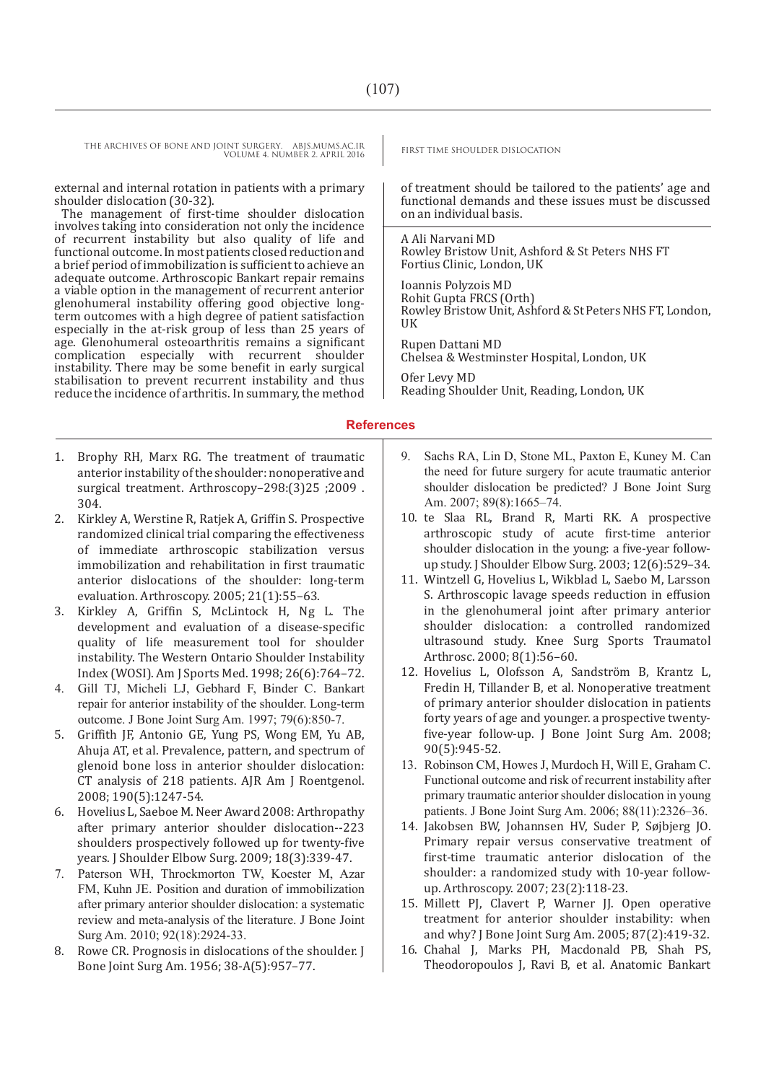THE ARCHIVES OF BONE AND JOINT SURGERY. ABJS.MUMS.AC.IR FIRST TIME SHOULDER DISLOCATION VOLUME 4. NUMBER 2. APRIL 2016

external and internal rotation in patients with a primary shoulder dislocation (30-32).

The management of first-time shoulder dislocation involves taking into consideration not only the incidence of recurrent instability but also quality of life and functional outcome. In most patients closed reduction and a brief period of immobilization is sufficient to achieve an adequate outcome. Arthroscopic Bankart repair remains a viable option in the management of recurrent anterior glenohumeral instability offering good objective longterm outcomes with a high degree of patient satisfaction especially in the at-risk group of less than 25 years of age. Glenohumeral osteoarthritis remains a significant complication especially with recurrent shoulder complication especially with recurrent instability. There may be some benefit in early surgical stabilisation to prevent recurrent instability and thus reduce the incidence of arthritis. In summary, the method

of treatment should be tailored to the patients' age and functional demands and these issues must be discussed on an individual basis.

A Ali Narvani MD Rowley Bristow Unit, Ashford & St Peters NHS FT Fortius Clinic, London, UK

Ioannis Polyzois MD Rohit Gupta FRCS (Orth) Rowley Bristow Unit, Ashford & St Peters NHS FT, London, **IIK** Rupen Dattani MD Chelsea & Westminster Hospital, London, UK

Ofer Levy MD Reading Shoulder Unit, Reading, London, UK

### **References**

- 1. Brophy RH, Marx RG. The treatment of traumatic anterior instability of the shoulder: nonoperative and surgical treatment. Arthroscopy-298:(3)25 ;2009 . 304.
- 2. Kirkley A, Werstine R, Ratjek A, Griffin S. Prospective randomized clinical trial comparing the effectiveness of immediate arthroscopic stabilization versus immobilization and rehabilitation in first traumatic anterior dislocations of the shoulder: long-term evaluation. Arthroscopy. 2005; 21(1):55–63.
- 3. Kirkley A, Griffin S, McLintock H, Ng L. The development and evaluation of a disease-specific quality of life measurement tool for shoulder instability. The Western Ontario Shoulder Instability Index (WOSI). Am J Sports Med. 1998; 26(6):764–72.
- 4. Gill TJ, Micheli LJ, Gebhard F, Binder C. Bankart repair for anterior instability of the shoulder. Long-term outcome. J Bone Joint Surg Am. 1997; 79(6):850-7.
- 5. Griffith JF, Antonio GE, Yung PS, Wong EM, Yu AB, Ahuja AT, et al. Prevalence, pattern, and spectrum of glenoid bone loss in anterior shoulder dislocation: CT analysis of 218 patients. AJR Am J Roentgenol. 2008; 190(5):1247-54.
- 6. Hovelius L, Saeboe M. Neer Award 2008: Arthropathy after primary anterior shoulder dislocation--223 shoulders prospectively followed up for twenty-five years. J Shoulder Elbow Surg. 2009; 18(3):339-47.
- 7. Paterson WH, Throckmorton TW, Koester M, Azar FM, Kuhn JE. Position and duration of immobilization after primary anterior shoulder dislocation: a systematic review and meta-analysis of the literature. J Bone Joint Surg Am. 2010; 92(18):2924-33.
- 8. Rowe CR. Prognosis in dislocations of the shoulder. J Bone Joint Surg Am. 1956; 38-A(5):957–77.
- 9. Sachs RA, Lin D, Stone ML, Paxton E, Kuney M. Can the need for future surgery for acute traumatic anterior shoulder dislocation be predicted? J Bone Joint Surg Am. 2007; 89(8):1665-74.
- 10. te Slaa RL, Brand R, Marti RK. A prospective arthroscopic study of acute first-time anterior shoulder dislocation in the young: a five-year followup study. J Shoulder Elbow Surg. 2003; 12(6):529–34.
- 11. Wintzell G, Hovelius L, Wikblad L, Saebo M, Larsson S. Arthroscopic lavage speeds reduction in effusion in the glenohumeral joint after primary anterior shoulder dislocation: a controlled randomized ultrasound study. Knee Surg Sports Traumatol Arthrosc. 2000; 8(1):56–60.
- 12. Hovelius L, Olofsson A, Sandström B, Krantz L, Fredin H, Tillander B, et al. Nonoperative treatment of primary anterior shoulder dislocation in patients forty years of age and younger. a prospective twentyfive-year follow-up. J Bone Joint Surg Am. 2008; 90(5):945-52.
- 13. Robinson CM, Howes J, Murdoch H, Will E, Graham C. Functional outcome and risk of recurrent instability after primary traumatic anterior shoulder dislocation in young patients. J Bone Joint Surg Am. 2006; 88(11):2326–36.
- 14. Jakobsen BW, Johannsen HV, Suder P, Søjbjerg JO. Primary repair versus conservative treatment of first-time traumatic anterior dislocation of the shoulder: a randomized study with 10-year followup. Arthroscopy. 2007; 23(2):118-23.
- 15. Millett PJ, Clavert P, Warner JJ. Open operative treatment for anterior shoulder instability: when and why? J Bone Joint Surg Am. 2005; 87(2):419-32.
- 16. Chahal J, Marks PH, Macdonald PB, Shah PS, Theodoropoulos J, Ravi B, et al. Anatomic Bankart